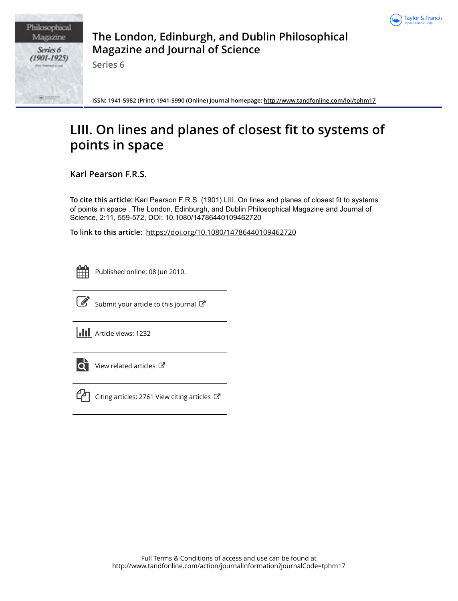

Philosophical Magazine Series 6  $(1901 - 1925)$ 

**The London, Edinburgh, and Dublin Philosophical Magazine and Journal of Science**

**Series 6**

**ISSN: 1941-5982 (Print) 1941-5990 (Online) Journal homepage:<http://www.tandfonline.com/loi/tphm17>**

# **LIII. On lines and planes of closest fit to systems of points in space**

**Karl Pearson F.R.S.**

**To cite this article:** Karl Pearson F.R.S. (1901) LIII. On lines and planes of closest fit to systems of points in space , The London, Edinburgh, and Dublin Philosophical Magazine and Journal of Science, 2:11, 559-572, DOI: [10.1080/14786440109462720](http://www.tandfonline.com/action/showCitFormats?doi=10.1080/14786440109462720)

**To link to this article:** <https://doi.org/10.1080/14786440109462720>

|  | -- | _ |  |
|--|----|---|--|
|  |    |   |  |
|  |    |   |  |
|  |    |   |  |

Published online: 08 Jun 2010.



 $\mathbb{Z}$  [Submit your article to this journal](http://www.tandfonline.com/action/authorSubmission?journalCode=tphm17&show=instructions)  $\mathbb{Z}$ 

**III** Article views: 1232



 $\overline{Q}$  [View related articles](http://www.tandfonline.com/doi/mlt/10.1080/14786440109462720)  $\overline{C}$ 



 $\mathbb{C}$  [Citing articles: 2761 View citing articles](http://www.tandfonline.com/doi/citedby/10.1080/14786440109462720#tabModule)  $\mathbb{C}$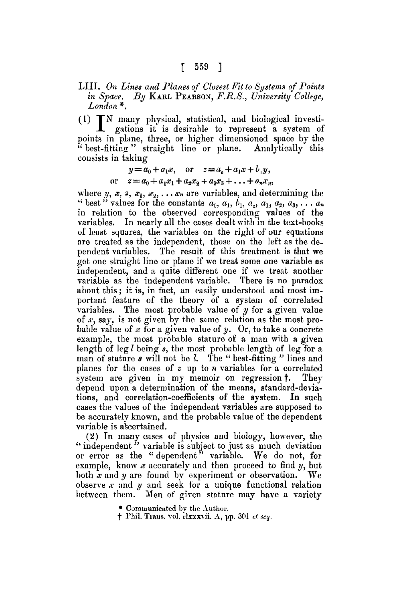#### LIII. On Lines and Planes of Closest Fit to Systems of Points *in Space. By* KARL PEARSON, *F.R.S., University College, London \*.*

 $(1)$   $\mathbb{T}N$  many physical, statistical, and biological investigations it is desirable to represent a system of points in plane, three, or higher dimensioned space by the " best-fitting" straight line or plane. Analytically this consists in taking

$$
y = a_0 + a_1 x, \text{ or } z = a_0 + a_1 x + b_1 y,
$$
  
or 
$$
z = a_0 + a_1 x_1 + a_2 x_2 + a_3 x_3 + \dots + a_n x_n,
$$

where y, x, 2,  $x_1, x_2, \ldots, x_n$  are variables, and determining the " best " values for the constants  $a_0, a_1, b_1, a_0, a_1, a_2, a_3, \ldots a_n$ in relation to the observed corresponding values of the variables. In nearly all the cases dealt with in the text-books of least squares, the variables on the right of our equations are treated as the independent, those on the left as the dependent variables. The result of this treatment is that we get one straight line or plane if we treat some one variable as independent, and a quite different one if we treat another variable as the independent variable. There is no paradox about this; it is, in fact, an easily understood and most important feature of the theory of a system of correlated variables. The most probable value of  $y$  for a given value of  $x$ , say, is not given by the same relation as the most probable value of  $x$  for a given value of  $y$ . Or, to take a concrete example, the most probable stature of a man with a given length of leg  $l$  being  $s$ , the most probable length of leg for a man of stature  $s$  will not be  $l$ . The "best-fitting" lines and planes for the cases of  $z$  up to  $n$  variables for a correlated system are given in my memoir on regression  $\dagger$ . They depend upon a determination of the means, standard-deviations, and correlation-coefficients of the system. In such cases the values of the independent variables are supposed to be accurately known, and the probable value of the dependent variable is a scertained.

(2) In many cases of physics and biology, however, the " independent" variable is subject to just as much deviation or error as the "dependent" variable. We do not, for example, know  $x$  accurately and then proceed to find  $y$ , but both x and y are found by experiment or observation. We observe  $x$  and  $y$  and seek for a unique functional relation between them. Men of given stature may have a variety

9 Communicated by the Author.

 $\dagger$  Phil. Trans. vol. clxxxvii. A, pp. 301 *et seq.*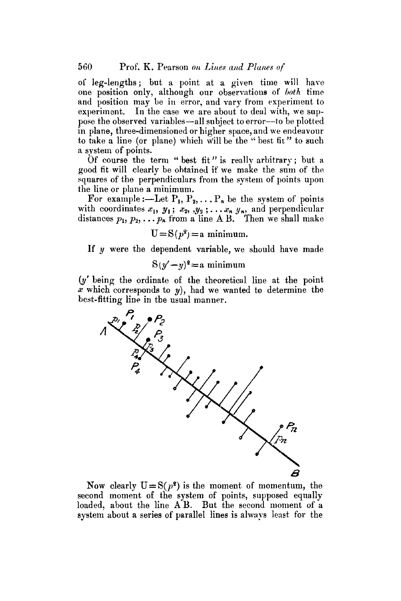of leg-lengths; but a point at a given time will have one position only, although our observations of *both* time and position may be in error, and vary from experiment to experiment. In the case we are about to deal with, we suppose the observed variables--all subject to error--to be plotted in plane, three-dimensioned or higher space, and we endeavour to take a line (or plane) which will be the "best fit" to such a system of points.

Of course the term " best fit" is really arbitrary; but a good fit will clearly be obtained if we make the sum of the squares of the perpendiculars from the system of points upon the line or plane a minimum.

For example :—Let  $P_1, P_2, \ldots, P_n$  be the system of points with coordinates  $x_1, y_1; x_2, y_2; \ldots x_n, y_n$ , and perpendicular distances  $p_1, p_2, \ldots p_n$  from a line A B. Then we shall make

$$
U = S(p^2) = a minimum.
$$

If y were the dependent variable, we should have made

$$
S(y'-y)^2 = a minimum
$$

(y' being the ordinate of the theoretical line at the point x which corresponds to *y),* had we wanted to determine the best-fitting line in the usual manner.



Now clearly  $U = S(p^2)$  is the moment of momentum, the second moment of the system of points, supposed equally loaded, about the line AB. But the second moment of a system about a series of parallel lines is always least for the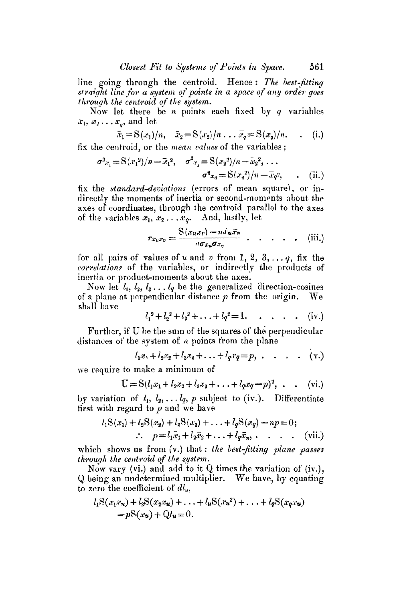line going through the centroid. Hence: *The best-fitting* straight line for a system of points in a space of any order goes *through the centroid of the system.* 

Now let there be  $n$  points each fixed by  $q$  variables  $x_1, x_2 \ldots x_n$ , and let

$$
\bar{x}_1 = \mathcal{S}(x_1)/n, \quad \bar{x}_2 = \mathcal{S}(x_2)/n \dots \bar{x}_q = \mathcal{S}(x_q)/n. \quad . \quad (i.)
$$

fix the eenfroid, or the *mean values* of the variables ;

$$
\sigma^{2}{}_{x_{1}} = S(x_{1}^{2})/n - \bar{x}_{1}^{2}, \quad \sigma^{2}{}_{x_{2}} = S(x_{2}^{2})/n - \bar{x}_{2}^{2}, \dots
$$

$$
\sigma^{2}{}_{x_{q}} = S(x_{q}^{2})/n - \bar{x}_{q}^{2}, \qquad (ii.)
$$

fix the *standard-deviations* (errors of mean square), or indirectly the moments of inertia or second-moments about the axes of coordinates, through the centroid parallel to the axes of the variables  $x_1, x_2...x_n$ . And, lastly, let

$$
r_{x_ux_v}=\frac{\mathrm{S}(x_ux_v)-n\bar{x}_u\bar{x}_v}{n\sigma_{x_v}\sigma_{x_v}}\qquad \qquad \ldots \qquad \qquad \text{(iii.)}
$$

for all pairs of values of u and v from 1, 2, 3, ...  $q$ , fix the *correlations* of the variables, or indirectly the products of inertia or product-moments about the axes.

Now let  $l_1, l_2, l_3, \ldots l_q$  be the generalized direction-cosines of a plane at perpendicular distance  $p$  from the origin. We shall have

$$
l_1^2 + l_2^2 + l_3^2 + \ldots + l_q^2 = 1
$$
, ..., (iv.)

Further, if U be the sum of the squares of the perpendicular distances of the system of  $n$  points from the plane

$$
l_1x_1 + l_2x_2 + l_3x_3 + \ldots + l_qx_q = p, \ldots \ldots \ldots \qquad (v.)
$$

we require to make a minimum of

$$
U = S(l_1x_1 + l_2x_2 + l_3x_3 + \ldots + l_qx_q - p)^2, \quad . \quad (vi.)
$$

by variation of  $l_1, l_2, \ldots l_q$ , p subject to (iv.). Differentiate first with regard to  $p$  and we have

$$
l_1S(x_1) + l_2S(x_2) + l_3S(x_3) + \ldots + l_qS(x_q) - np = 0;
$$
  

$$
\therefore p = l_1\bar{x}_1 + l_2\bar{x}_2 + \ldots + l_q\bar{x}_n, \ldots \ldots \quad \text{(vii.)}
$$

which shows us from (v.) that : *the best-fitting plane passes through the centroid of the system.* 

Now vary (vi.) and add to it Q times the variation of (iv.), Q being an undetermined multiplier. We have, by equating to zero the coefficient of  $dl_u$ ,

$$
l_1S(x_1x_1) + l_2S(x_2x_1) + \ldots + l_uS(x_u^2) + \ldots + l_qS(x_qx_u)
$$
  
- $pS(x_1) + Q(u=0).$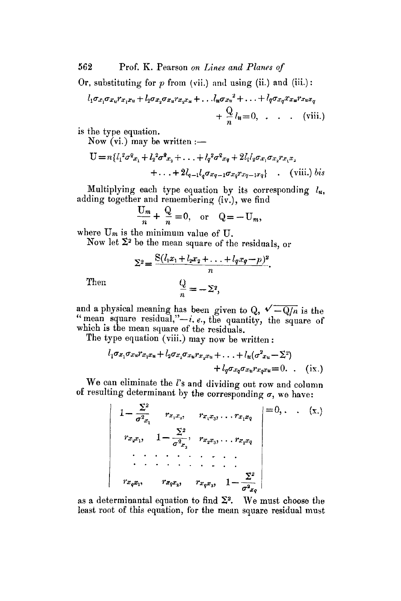562 Prof. K. Pearson *on Lines and Planes of* 

Or, substituting for  $p$  from (vii.) and using (ii.) and (iii.):

$$
l_1 \sigma x_1 \sigma x_u r_{x_1 x_u} + l_2 \sigma x_2 \sigma x_u r_{x_2 x_u} + \dots l_u \sigma x_u^2 + \dots + l_q \sigma x_q x_u r_{x_u x_q}
$$
  
+ 
$$
\frac{Q}{n} l_u = 0, \dots \quad (viii.)
$$

is the type equation.

Now  $(vi.)$  may be written  $:$ 

$$
U = n\{l_1^2\sigma^2 x_1 + l_2^2\sigma^2 x_2 + \dots + l_q^2\sigma^2 x_q + 2l_1l_2\sigma x_1\sigma x_2 r x_1 x_1 + \dots + 2l_{q-1}l_q\sigma x_{q-1}\sigma x_q r x_{q-1} x_q\} \quad , \quad \text{(viii.) } bis
$$

Multiplying each type equation by its corresponding  $l_u$ , adding together and remembering (iv.), we find

$$
\frac{U_m}{n} + \frac{Q}{n} = 0, \text{ or } Q = -U_m,
$$

where  $U_m$  is the minimum value of  $U$ .

Now let  $\Sigma^2$  be the mean square of the residuals, or

$$
\Sigma^2 = \frac{\mathcal{S}(l_1x_1 + l_2x_2 + \dots + l_qx_q - p)^2}{n}.
$$

$$
\frac{Q}{n} = -\Sigma^2,
$$

Then

and a physical meaning has been given to Q,  $\sqrt{-Q/n}$  is the "mean square residual," $-i$ ,  $e$ , the quantity, the square of which is the mean square of the residuals.

The type equation (viii.) may now be written :

$$
l_1 \sigma x_1 \sigma x_u r x_1 x_u + l_2 \sigma x_2 \sigma x_u r x_2 x_u + \ldots + l_u (\sigma^2 x_u - \Sigma^2)
$$
  
+ 
$$
l_q \sigma x_q \sigma x_u r x_q x_u = 0. \quad (ix.)
$$

We can eliminate the  $l$ 's and dividing out row and column of resulting determinant by the corresponding  $\sigma$ , we have:

$$
1 - \frac{\Sigma^2}{\sigma^2 x_1} \qquad r_{x_1 x_2}, \qquad r_{x_1 x_3}, \ldots, r_{x_1 x_2} \qquad = 0, \ldots \qquad (x.)
$$
  

$$
r_{x_2 x_1}, \qquad 1 - \frac{\Sigma^2}{\sigma^2 x_2}, \qquad r_{x_2 x_3}, \ldots, r_{x_2 x_2} \qquad \qquad \ldots \qquad \ldots \qquad \ldots \qquad \ldots \qquad \ldots \qquad \ldots \qquad \ldots \qquad \ldots \qquad \ldots \qquad \ldots \qquad \ldots \qquad \ldots \qquad \ldots \qquad \ldots \qquad \ldots \qquad \ldots \qquad \ldots \qquad \ldots \qquad \ldots \qquad \ldots \qquad \ldots \qquad \ldots \qquad \ldots \qquad \ldots \qquad \ldots \qquad \ldots \qquad \ldots \qquad \ldots \qquad \ldots \qquad \ldots \qquad \ldots \qquad \ldots \qquad \ldots \qquad \ldots \qquad \ldots \qquad \ldots \qquad \ldots \qquad \ldots \qquad \ldots \qquad \ldots \qquad \ldots \qquad \ldots \qquad \ldots \qquad \ldots \qquad \ldots \qquad \ldots \qquad \ldots \qquad \ldots \qquad \ldots \qquad \ldots \qquad \ldots \qquad \ldots \qquad \ldots \qquad \ldots \qquad \ldots \qquad \ldots \qquad \ldots \qquad \ldots \qquad \ldots \qquad \ldots \qquad \ldots \qquad \ldots \qquad \ldots \qquad \ldots \qquad \ldots \qquad \ldots \qquad \ldots \qquad \ldots \qquad \ldots \qquad \ldots \qquad \ldots \qquad \ldots \qquad \ldots \qquad \ldots \qquad \ldots \qquad \ldots \qquad \ldots \qquad \ldots \qquad \ldots \qquad \ldots \qquad \ldots \qquad \ldots \qquad \ldots \qquad \ldots \qquad \ldots \qquad \ldots \qquad \ldots \qquad \ldots \qquad \ldots \qquad \ldots \qquad \ldots \qquad \ldots \qquad \ldots \qquad \ldots \qquad \ldots \qquad \ldots \qquad \ldots \qquad \ldots \qquad \ldots \qquad \ldots \qquad \ldots \qquad \ldots \qquad \ldots \qquad
$$

as a determinantal equation to find  $\Sigma^2$ . We must choose the least root of this equation, for the mean square residual must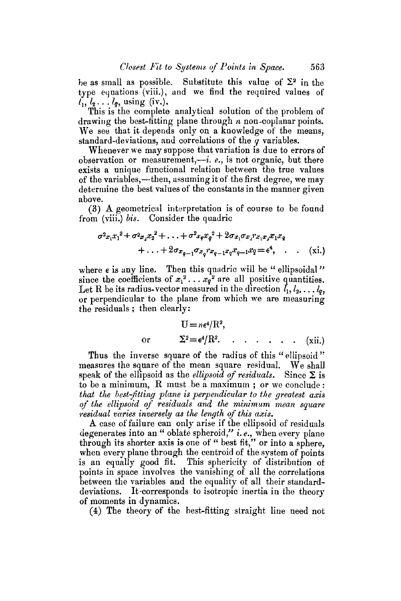be as small as possible. Substitute this value of  $\Sigma^2$  in the type equations (viii.), and we find the required values of  $l_1, l_2 \ldots l_q$ , using (iv.).

This is the complete analytical solution of the problem of drawing the best-fitting plane through  $n$  non-coplanar points. We see that it depends only on a knowledge of the means, standard-deviations, and correlations of the  $q$  variables.

Whenever we may suppose that variation is due to errors of observation or measurement, $-i$ , e., is not organic, but there exists a unique functional relation between the true values of the variables,--then, assuming it of the first degree, we may determine the best values of the constants in the manner given above.

(3) A geometric.d interpretation is of course to be found from (viii.) *bis.* Consider the quadric

$$
\sigma^{2} x_{1} x_{1}^{2} + \sigma^{2} x_{2} x_{2}^{2} + \ldots + \sigma^{2} x_{q} x_{q}^{2} + 2 \sigma x_{1} \sigma x_{2} x_{1} x_{2} x_{2} \n+ \ldots + 2 \sigma x_{q-1} \sigma x_{q} x_{q-1} x_{q} x_{q-1} x_{q} = \epsilon^{4}, \ldots \quad (xi.)
$$

where  $\epsilon$  is any line. Then this quadric will be " ellipsoidal" since the coefficients of  $x_1^2 \ldots x_q^2$  are all positive quantities. Let R be its radius-vector measured in the direction  $l_1, l_2, \ldots l_q$ , or perpendicular to the plane from which we are measuring the residuals ; then clearly:

$$
U = n\epsilon^4/R^2,
$$
  
or 
$$
\Sigma^2 = \epsilon^4/R^2. \quad . \quad . \quad . \quad . \quad . \quad (xii.)
$$

Thus the inverse square of the radius of this *"ellipsoid"*  measures the square of the mean square residual. We shall speak of the ellipsoid as the *ellipsoid of residuals*. Since  $\Sigma$  is to be a minimum, R must be a maximum ; or we conclude : *that the best-fitting plane is perpendicular to the greatest axis of the ellipsoid of residuals and the minimum mean square residual varies inversely as the length of this axis.* 

A case of failure can only arise if the ellipsoid of residuals degenerates into an " oblate spheroid," *i.e.*, when every plane through its shorter axis is one of *"* best fit," or into a sphere, when every plane through the centroid of the system of points is an equally good fit. This sphericity of distribution of points in space involves the vanishing of all the correlations between the variables and the equality of all their standarddeviations. It corresponds to isotropic inertia in the theory of moments in dynamics.

(4) The theory of the best-fitting straight line need not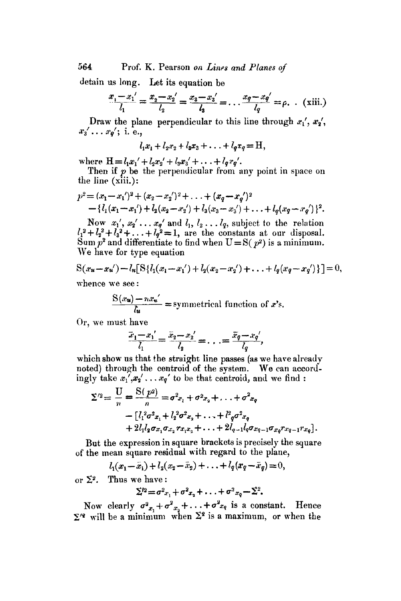564 Prof. K. Pearson *on Lines and Planes of* 

detain us long. Let its equation be

$$
\frac{x_1 - x_1'}{l_1} = \frac{x_2 - x_2'}{l_2} = \frac{x_3 - x_3'}{l_3} = \dots \frac{x_q - x_q'}{l_q} = \rho. \quad \text{(xiii.)}
$$

Draw the plane perpendicular to this line through  $x_1, x_2,$  $x_3', \ldots, x_n';$  i. e.,

$$
l_1x_1 + l_2x_2 + l_3x_3 + \ldots + l_qx_q = H,
$$

where  $H = l_1 x_1' + l_2 x_2' + l_3 x_3' + \ldots + l_q x_q'.$ 

Then if  $p$  be the perpendicular from any point in space on the line (xiii.):

$$
p^{2} = (x_{1} - x_{1}')^{2} + (x_{2} - x_{2}')^{2} + \ldots + (x_{q} - x_{q}')^{2}
$$
  
 
$$
- \{l_{1}(x_{1} - x_{1}') + l_{2}(x_{2} - x_{2}') + l_{3}(x_{3} - x_{3}') + \ldots + l_{q}(x_{q} - x_{q}')\}^{2}.
$$

Now  $x_1', x_2' \ldots x_q'$  and  $l_1, l_2 \ldots l_q$ , subject to the relation  $l_1^2 + l_2^2 + l_3^2 + \ldots + l_q^2 = 1$ , are the constants at our disposal. Sum  $p^2$  and differentiate to find when  $U = S(p^2)$  is a minimum. We have for type equation

$$
S(x_{u}-x_{u'})-l_{u}[S\{l_{1}(x_{1}-x_{1'})+l_{2}(x_{2}-x_{2'})+\ldots+l_{q}(x_{q}-x_{q'})\}]=0,
$$

whence we see:

$$
\frac{S(x_u) - nx_u'}{l_u} = \text{symmetrical function of } x\text{'s.}
$$

Or, we must have

$$
\frac{\overline{x}_1 - x_1'}{\overline{l}_1} = \frac{\overline{x}_2 - x_2'}{\overline{l}_2} = \ldots = \frac{\overline{x}_q - x_q'}{\overline{l}_q},
$$

which show us that the straight line passes (as we have already noted) through the centroid of the system. We can accordingly take  $x_1, x_2, \ldots, x_q$  to be that centroid, and we find :

$$
\Sigma'^2 = \frac{U}{n} = \frac{S(p^2)}{n} = \sigma^2 x_1 + \sigma^2 x_2 + \ldots + \sigma^2 x_q
$$
  
-  $\left[ l_1^2 \sigma^2 x_1 + l_2^2 \sigma^2 x_2 + \ldots + l^2 q \sigma^2 x_q + 2 l_1 l_2 \sigma x_1 \sigma x_2 r x_1 x_2 + \ldots + 2 l_{q-1} l_q \sigma x_{q-1} \sigma x_q r x_{q-1} r x_q \right].$ 

But the expression in square brackets is precisely the square of the mean square residual with regard to the plane,

$$
l_1(x_1-\bar{x}_1)+l_2(x_2-\bar{x}_2)+\ldots+l_q(x_q-\bar{x}_q)=0,
$$

or  $\Sigma^2$ . Thus we have:

$$
\Sigma^{l_2} = \sigma^2 x_1 + \sigma^2 x_2 + \ldots + \sigma^2 x_q - \Sigma^2.
$$

Now clearly  $\sigma^2_{x_1}+\sigma^2_{x_2}+\ldots+\sigma^2_{x_q}$  is a constant. Hence  $\Sigma^{\prime}$  will be a minimum when  $\Sigma^2$  is a maximum, or when the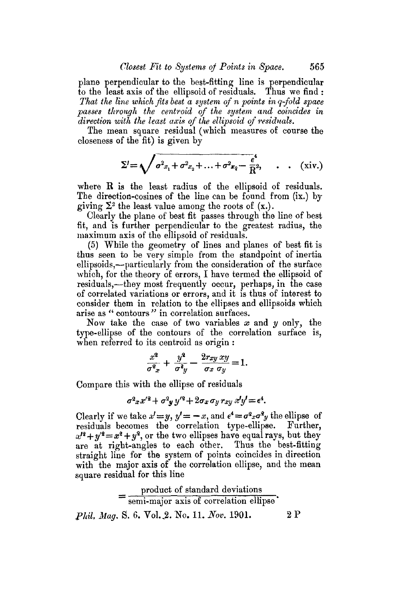plane perpendicular to the best-fitting line is perpendicular to the least axis of the ellipsoid of residuals. Thus we find : *That the line which fits best a system of n points in q-fold space passes throuflh the centroid of the system and coincides in direction with the least axis of the ellipsoid of residuals.* 

The mean square residual (which measures of course the closeness of the fit) is given by

$$
\Sigma' = \sqrt{\sigma^2 x_1 + \sigma^2 x_2 + \ldots + \sigma^2 x_2 - \frac{\epsilon^4}{R^2}}, \qquad (xiv.)
$$

where R is the least radius of the ellipsoid of residuals. The direction-cosines of the line can be found from (ix.) by giving  $\Sigma^2$  the least value among the roots of  $(x.)$ .

Clearly the plane of best fit passes through the line of best fit, and is further perpendicular to the greatest radius, the maximmn axis of the ellipsoid of residuals.

(5) While the geometry of lines and planes of best fit is thus seen to be very simple from the standpoint of inertia ellipsoids,--particularly from the consideration of the surface which, for the theory of errors, I have termed the ellipsoid of residuals,-they most frequently occur, perhaps, in the case of correlated variations or errors, and it is thus of interest to consider them in relation to the ellipses and ellipsoids which arise as " contours *'"* in correlation surfaces.

Now take the case of two variables  $x$  and  $y$  only, the type-ellipse of the contours of the correlation surface is, when referred to its centroid as origin :

$$
\frac{x^2}{\sigma_{x}^2} + \frac{y^2}{\sigma_{y}^2} - \frac{2r_{xy}xy}{\sigma_x \sigma_y} = 1.
$$

Compare this with the ellipse of residuals

$$
\sigma^2 x x'^2 + \sigma^2 y y'^2 + 2 \sigma x \sigma y r x y x' y' = \epsilon^4.
$$

Clearly if we take  $x' = y$ ,  $y' = -x$ , and  $e^4 = \sigma^2 x \sigma^2 y$  the ellipse of residuals becomes the correlation type-ellipse. Further,  $x^{2} + y^{2} = x^{2} + y^{2}$ , or the two ellipses have equal rays, but they are at right-angles to each other. Thus the best-fitting straight line for the system of points coincides in direction with the major axis of the correlation ellipse, and the mean square residual for this line

$$
= \frac{\text{product of standard deviations}}{\text{semi-major axis of correlation ellipse}}.
$$
  
*Phil, Mag.* S. 6. Vol. 2. No. 11. Nov. 1901. 2. P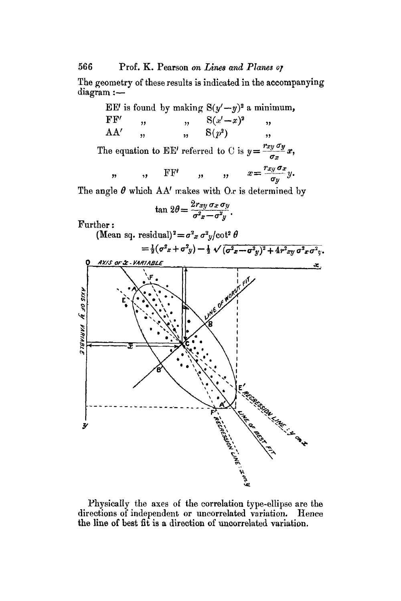### 566 Prof. K. Pearson *on Lines and Planes 07*

The geometry of these results is indicated in the accompanying  $diagram :=$ 



Physically the axes of the correlation type-ellipse are the directions of independent or uncorrelated variation. Hence the line of best fit is a direction of uncorrelated variation.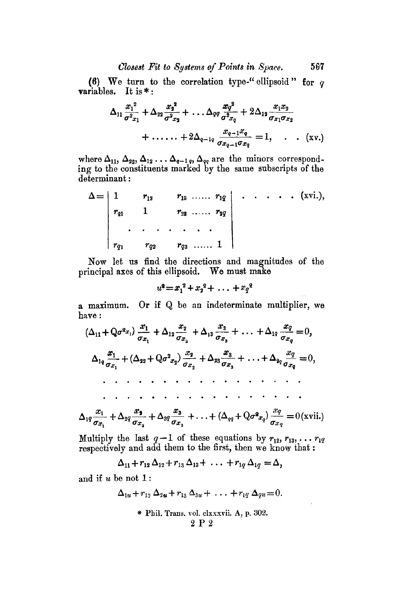### *Closest Fit to Systems of Pdnts in Space.* 567

(6) We turn to the correlation type-" ellipsoid" for  $q$ variables. It is  $*$ :

$$
\Delta_{11} \frac{x_1^2}{\sigma^2 x_1} + \Delta_{22} \frac{x_2^2}{\sigma^2 x_2} + \ldots \Delta_{qq} \frac{x_q^2}{\sigma^2 x_q} + 2 \Delta_{12} \frac{x_1 x_2}{\sigma_{x_1} \sigma_{x_2}} + \ldots + 2 \Delta_{q-1q} \frac{x_{q-1} x_q}{\sigma_{x_q-1} \sigma_{x_q}} = 1, \ldots \quad (xv.)
$$

where  $\Delta_{11}$ ,  $\Delta_{22}$ ,  $\Delta_{12}$ ...  $\Delta_{q-1q}$ ,  $\Delta_{qq}$  are the minors corresponding to the constituents marked by the same subscripts of the determinant :

$$
\Delta = \begin{vmatrix} 1 & r_{13} & r_{13} & \dots & r_{1q} \\ r_{21} & 1 & r_{23} & \dots & r_{2q} \\ \vdots & \vdots & \vdots & \vdots & \vdots \\ r_{q1} & r_{q2} & r_{q3} & \dots & 1 \end{vmatrix} \qquad \qquad (xvi.)
$$

Now let us find the directions and magnitudes of the principal axes of this ellipsoid. We must make

$$
u^2 = x_1^2 + x_2^2 + \ldots + x_q^2
$$

a maximum. Or if Q be an indeterminate multiplier, we have :

(Au+Qa~x,) x.\_s +A1 x~ +A~a xs + ... +Alq x--~q----0, O'.~ 1 O'.V~ {T,V a O',z'q ~73 2q 9 9 9 9 9 9 ~ 9 9 9 9 ~ 9 ~ . 9 9

$$
\Delta_{1q}\frac{x_1}{\sigma_{x_1}}+\Delta_{2q}\frac{x_2}{\sigma_{x_2}}+\Delta_{3q}\frac{x_3}{\sigma_{x_3}}+\ldots+(\Delta_{q}+Q\sigma^2 x_q)\frac{x_q}{\sigma_{x_q}}=0(\text{xvii.})
$$

Multiply the last  $q-1$  of these equations by  $r_{12}, r_{13}, \ldots r_{1q}$ respectively and add them to the first, then we know that :

$$
\Delta_{11}+r_{12}\,\Delta_{12}+r_{13}\,\Delta_{13}+\ldots+r_{1q}\,\Delta_{1q}=\Delta,
$$

and if  $u$  be not  $1$ :

$$
\Delta_{1u}+r_{12}\Delta_{2u}+r_{13}\Delta_{3u}+\ldots+r_{1q}\Delta_{qu}=0.
$$

+ Phil. Trans. vol. clxxxvii. A, p. 302. 2P2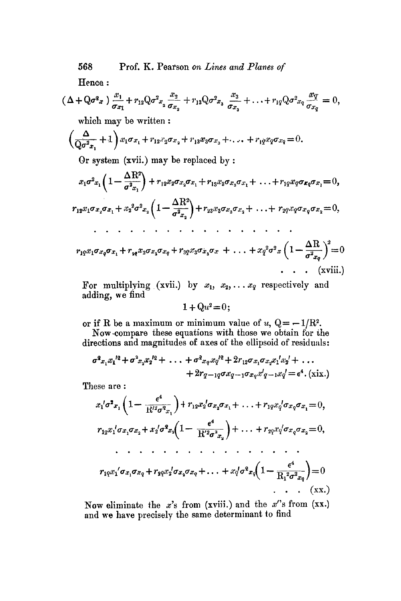568 Prof. K. Pearson *on Lines and \_Planes of* 

Hence:

qa, l ax 2 + riaQ~ *xa +"" + rlqQa~xq ~7 = o, 0"2 3 v xq*  which may be written : Or system (xvii.) may be replaced by : **' (** AR2\ *rl~xlax~ax~ Jr x~a2x~ 1-- \_T-| Jr r~xa~x3(rx~ + 9 9 9 jr r2qxqqxqo'x 2 =* 0, *O'X2 / 9 9 9 \* 9 9 9 9 \* 9 . 9 . 9 9 . . rlqXlaXqO'x 1 jr r~x2o'x2qx q Jr r~qxaa~aax jr + x~2q~x (1 -- AR 0 9 ff2v q ]*  9 (xviii.)

For multiplying (xvii.) by  $x_1, x_2, \ldots x_q$  respectively and adding, we find

 $1+Qu^2=0;$ 

or if R be a maximum or minimum value of u,  $Q = -1/R^2$ .

Now-compare these equations with those we obtain for the directions and magnitudes of axes of the ellipsoid of residuals:

$$
\sigma^2 x_1 x_1^{12} + \sigma^2 x_2 x_2^{12} + \ldots + \sigma^2 x_q x_q^{12} + 2r_{12} \sigma x_1 \sigma x_2 x_1^{1} x_2^{1} + \ldots + 2r_{q-1q} \sigma x_{q-1} \sigma x_q x_1^{1} - x_q x_q^{1} = \epsilon^4 \cdot (\text{xxx.})
$$

These are :

$$
x_1' \sigma^2 x_1 \left( 1 - \frac{\epsilon^4}{R^{12} \sigma^2 x_1} \right) + r_{12} x_2' \sigma x_2 \sigma x_1 + \dots + r_{12} x_q' \sigma x_q \sigma x_1 = 0,
$$
  
\n
$$
r_{12} x_1' \sigma x_1 \sigma x_2 + x_2' \sigma^2 x_2 \left( 1 - \frac{\epsilon^4}{R^{2} \sigma^2 x_2} \right) + \dots + r_{22} x_q' \sigma x_q \sigma x_2 = 0,
$$
  
\n
$$
\dots \dots \dots \dots \dots \dots \dots
$$
  
\n
$$
r_{12} x_1' \sigma x_1 \sigma x_q + r_{22} x_2' \sigma x_2 \sigma x_q + \dots + x_q' \sigma^2 x_q \left( 1 - \frac{\epsilon^4}{R_1^2 \sigma^2 x_q} \right) = 0
$$
  
\n
$$
\dots \quad (XX.)
$$

Now eliminate the x's from (xviii.) and the x's from (xx.) and we have precisely the same determinant to find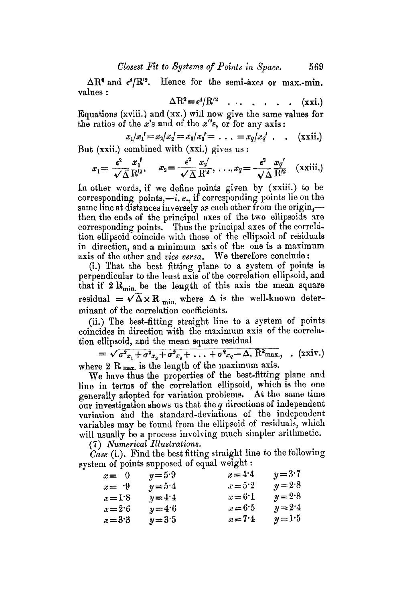$\Delta R^*$  and  $\epsilon^4/R'^2$ . Hence for the semi-axes or max.-min. values :

$$
\Delta R^2 = \epsilon^4/R^2 \ldots \ldots \ldots \ldots \ldots (xxi.)
$$

Equations (xviii.] and (xx.) will now give the same values for the ratios of the x's and of the  $x$ 's, or for any axis:

$$
x_1/x_1' = x_2/x_2' = x_3/x_3' = \dots = x_q/x_q' \dots \quad \text{(xxii.)}
$$

But (xxii.) combined with (xxi.) gives us :

$$
x_1 = \frac{\epsilon^2}{\sqrt{\Delta}} \frac{x_1'}{R'^2}, \quad x_2 = \frac{\epsilon^2}{\sqrt{\Delta}} \frac{x_2'}{R'^2}, \ldots, x_q = \frac{\epsilon^2}{\sqrt{\Delta}} \frac{x_q'}{R'^2} \quad (\text{xxiii.)}
$$

In other words, if we define points given by (xxiii.) to be corresponding points, $-i$ , e., if corresponding points lie on the same line at distances inversely as each other from the origin,then the ends of the principal axes of the two ellipsoids are corresponding points. Thus the principal axes of the correlation ellipsoid coincide with those of the ellipsoid of residuals in direction, and a minimum axis of the one is a maximum axis of the other and *vice versa.* We therefore conclude :

(i.) That the best fitting plane to a system of points is perpendicular to the least axis of the correlation ellipsoid, and that if  $2 R_{\text{min}}$  be the length of this axis the mean square residual =  $\sqrt{\Delta} \times R$  <sub>min.</sub> where  $\Delta$  is the well-known determinant of the correlation coefficients.

(ii.) The best-fitting straight line to a system of points coincides in direction with the maximum axis of the correlation ellipsoid, and the mean square residual

 $=\sqrt{\sigma_{x_1}^2 + \sigma_{x_2}^2 + \sigma_{x_3}^2 + \ldots + \sigma_{x_q}^2 - \Delta}$ . R<sup>2</sup>max., (xxiv.) where 2 R  $_{\text{max}}$  is the length of the maximum axis.

We have thus the properties of the best-fitting plane and line in terms of the correlation ellipsoid, which is the one generally adopted for variation problems. At the same time our investigation shows us that the  $q$  directions of independent variation and the standard-deviations of the independent variables may be found from the ellipsoid of residuals, which will usually be a process involving much simpler arithmetic.

(7) *Numerical Illustrations.* 

*Case* (i.). Find the best fitting straight line to the following system of points supposed of equal weight :

| $x = 0$        | $y = 5.9$ | $x = 4.4$ | $y = 3.7$ |
|----------------|-----------|-----------|-----------|
| $x = \sqrt{9}$ | $y = 5.4$ | $x = 5.2$ | $y = 2.8$ |
| $x=1.8$        | $y = 4.4$ | $x = 6.1$ | $y = 2.8$ |
| $x = 2.6$      | $y = 4.6$ | $x = 6.5$ | $y = 2.4$ |
| $x = 3.3$      | $y = 3.5$ | $x=7.4$   | $y=1.5$   |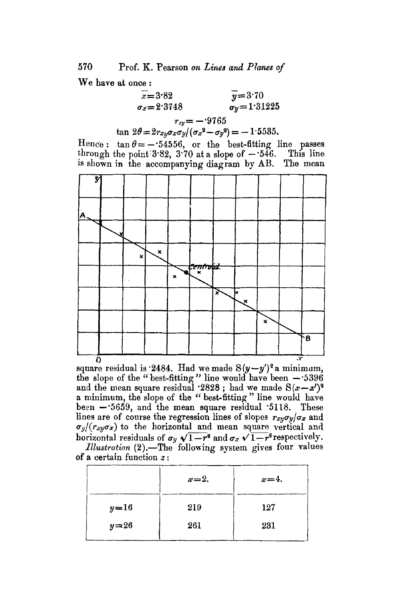## 570 Prof. K. Pearson *on Lines and \_Planes of*

We have at once :

$$
\begin{array}{rcl}\n\overline{x} &=& 3.82 \\
\sigma_x &=& 2.3748 \\
r_{xy} &=& -.9765 \\
\tan 2\theta &=& 2r_{xy}\sigma_x\sigma_y/(\sigma_x^2 - \sigma_y^2) = -1.5535.\n\end{array}
$$

Hence:  $tan \theta = -0.54556$ , or the best-fitting line passes through the point  $3.82$ ,  $3.70$  at a slope of  $-546$ . This line is shown in the accompanying diagram by AB. The mean is shown in the accompanying diagram by  $AB$ .



0 .~" square residual is "2484. Had we made *S(y--y')2a* minimam, the slope of the "best-fitting" line would have been  $-5396$ and the mean square residual  $2828$ ; had we made  $S(x-x')^2$ a minimum, the slope of the *"* best-fitting" line would have been  $-5659$ , and the mean square residual  $5118$ . These lines are of course the regression lines of slopes  $r_{xy} \sigma_y / \sigma_x$  and  $\sigma_y/(r_{xy}\sigma_x)$  to the horizontal and mean square vertical and horizontal residuals of  $\sigma_y \sqrt{1-r^2}$  and  $\sigma_x \sqrt{1-r^2}$  respectively.

| <i>Illustration</i> (2).—The following system gives four values |  |  |  |
|-----------------------------------------------------------------|--|--|--|
| of a certain function $z$ :                                     |  |  |  |

|        | $x=2$ , | $x=4$ . |
|--------|---------|---------|
| $y=16$ | 219     | 127     |
| $y=26$ | 261     | 231     |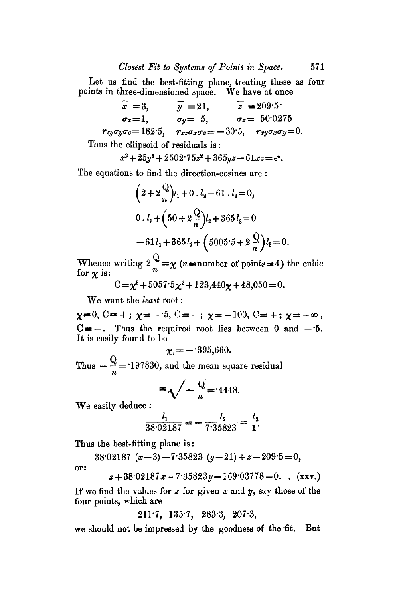Let us find the best-fitting plane, treating these as four points in three-dimensioned space. We have at once

 $x = 3,$   $y = 21,$   $z = 209.5$  $\sigma_x = 1,$   $\sigma_y = 5,$   $\sigma_z = 50.0275$  $r_{zy}\sigma_{y}\sigma_{z} = 182.5,$   $r_{xz}\sigma_{x}\sigma_{z} = -30.5,$   $r_{xy}\sigma_{x}\sigma_{y} = 0.$ Thus the ellipsoid of residuals is:

$$
x^2 + 25y^2 + 2502 \cdot 75z^2 + 365yz - 61xz = e^4.
$$

The equations to find the direction-cosines are :

$$
\left(2+2\frac{Q}{n}\right)l_1+0 \cdot l_2-61 \cdot l_3=0,
$$
  
0 \cdot l\_1+\left(50+2\frac{Q}{n}\right)l\_2+365 l\_3=0  
-61 l\_1+365 l\_3+\left(5005 \cdot 5+2\frac{Q}{n}\right)l\_3=0.

Whence writing  $2\frac{Q}{n} = \chi$  (*n*=number of points=4) the cubic for  $\chi$  is:

 $C=\chi^3 + 5057.5\chi^2 + 123,440\chi + 48,050 = 0.$ 

We want the *least* root:

 $\chi=0, \ \mathbb{C}=\pm; \ \chi=-.5, \ \mathbb{C}=-; \ \chi=-100, \ \mathbb{C}=\pm; \ \chi=-\infty$ ,  $C=-$ . Thus the required root lies between 0 and  $-5$ . It is easily found to be

$$
\chi_{\rm I}=-395,660.
$$

Thus  $-\frac{\infty}{n}$  = 197830, and the mean square residual

$$
=\sqrt{-\frac{Q}{n}}=4448.
$$

We easily deduce :

$$
\frac{l_1}{38 \cdot 02187} = -\frac{l_2}{7 \cdot 35823} = \frac{l_3}{1}.
$$

Thus the best-fitting plane is:

 $38.02187 (x-3) -7.35823 (y-21) + z-209.5=0,$ or:

$$
z + 38.02187 x - 7.35823 y - 169.03778 = 0. \quad (xxv.)
$$

If we find the values for  $z$  for given  $x$  and  $y$ , say those of the four points, which are

 $211.7, 135.7, 283.3, 207.3,$ 

we should not be impressed by the goodness of the fit. But